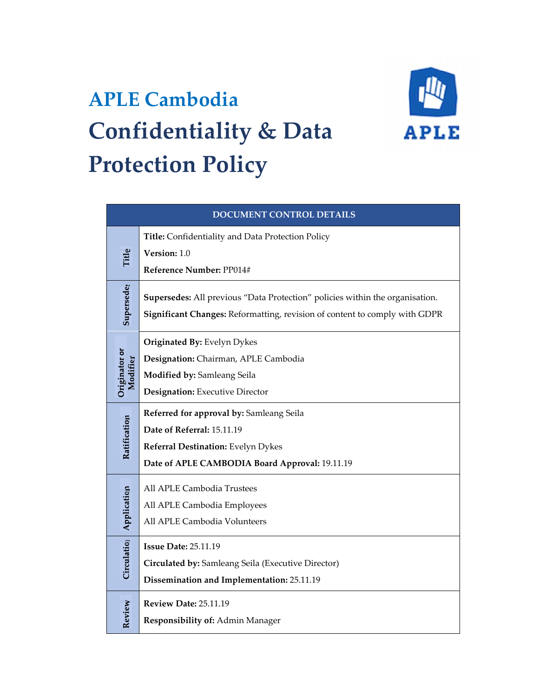# **APLE Cambodia Confidentiality & Data Protection Policy**



| <b>DOCUMENT CONTROL DETAILS</b>     |                                                                                                                                                            |
|-------------------------------------|------------------------------------------------------------------------------------------------------------------------------------------------------------|
|                                     | Title: Confidentiality and Data Protection Policy                                                                                                          |
| Title                               | Version: 1.0                                                                                                                                               |
|                                     | Reference Number: PP014#                                                                                                                                   |
| Supersedes                          | Supersedes: All previous "Data Protection" policies within the organisation.<br>Significant Changes: Reformatting, revision of content to comply with GDPR |
|                                     | Originated By: Evelyn Dykes                                                                                                                                |
| Originator or<br>Modifier           | Designation: Chairman, APLE Cambodia                                                                                                                       |
|                                     | Modified by: Samleang Seila                                                                                                                                |
|                                     | Designation: Executive Director                                                                                                                            |
| Ratification                        | Referred for approval by: Samleang Seila                                                                                                                   |
|                                     | Date of Referral: 15.11.19                                                                                                                                 |
|                                     | Referral Destination: Evelyn Dykes                                                                                                                         |
|                                     | Date of APLE CAMBODIA Board Approval: 19.11.19                                                                                                             |
| Circulatio <sub>l</sub> Application | All APLE Cambodia Trustees                                                                                                                                 |
|                                     | All APLE Cambodia Employees                                                                                                                                |
|                                     | All APLE Cambodia Volunteers                                                                                                                               |
|                                     | <b>Issue Date: 25.11.19</b>                                                                                                                                |
|                                     | Circulated by: Samleang Seila (Executive Director)                                                                                                         |
|                                     | Dissemination and Implementation: 25.11.19                                                                                                                 |
|                                     | <b>Review Date: 25.11.19</b>                                                                                                                               |
| Review                              | Responsibility of: Admin Manager                                                                                                                           |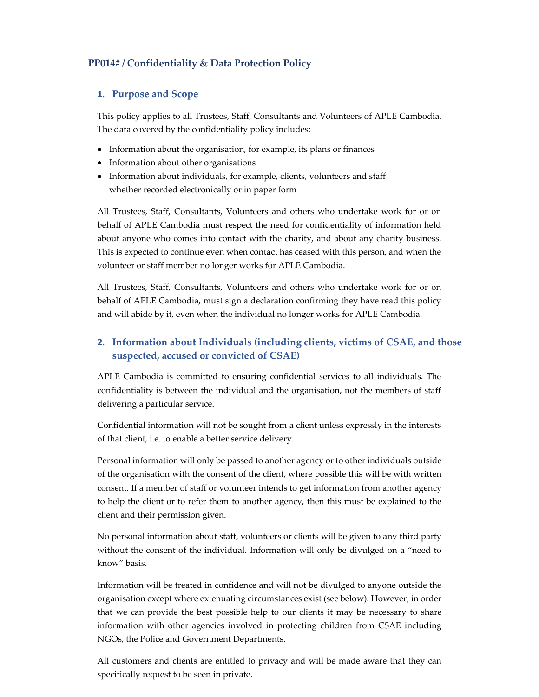## **PP014# / Confidentiality & Data Protection Policy**

#### **1. Purpose and Scope**

This policy applies to all Trustees, Staff, Consultants and Volunteers of APLE Cambodia. The data covered by the confidentiality policy includes:

- Information about the organisation, for example, its plans or finances
- Information about other organisations
- Information about individuals, for example, clients, volunteers and staff whether recorded electronically or in paper form

All Trustees, Staff, Consultants, Volunteers and others who undertake work for or on behalf of APLE Cambodia must respect the need for confidentiality of information held about anyone who comes into contact with the charity, and about any charity business. This is expected to continue even when contact has ceased with this person, and when the volunteer or staff member no longer works for APLE Cambodia.

All Trustees, Staff, Consultants, Volunteers and others who undertake work for or on behalf of APLE Cambodia, must sign a declaration confirming they have read this policy and will abide by it, even when the individual no longer works for APLE Cambodia.

## **2. Information about Individuals (including clients, victims of CSAE, and those suspected, accused or convicted of CSAE)**

APLE Cambodia is committed to ensuring confidential services to all individuals. The confidentiality is between the individual and the organisation, not the members of staff delivering a particular service.

Confidential information will not be sought from a client unless expressly in the interests of that client, i.e. to enable a better service delivery.

Personal information will only be passed to another agency or to other individuals outside of the organisation with the consent of the client, where possible this will be with written consent. If a member of staff or volunteer intends to get information from another agency to help the client or to refer them to another agency, then this must be explained to the client and their permission given.

No personal information about staff, volunteers or clients will be given to any third party without the consent of the individual. Information will only be divulged on a "need to know" basis.

Information will be treated in confidence and will not be divulged to anyone outside the organisation except where extenuating circumstances exist (see below). However, in order that we can provide the best possible help to our clients it may be necessary to share information with other agencies involved in protecting children from CSAE including NGOs, the Police and Government Departments.

All customers and clients are entitled to privacy and will be made aware that they can specifically request to be seen in private.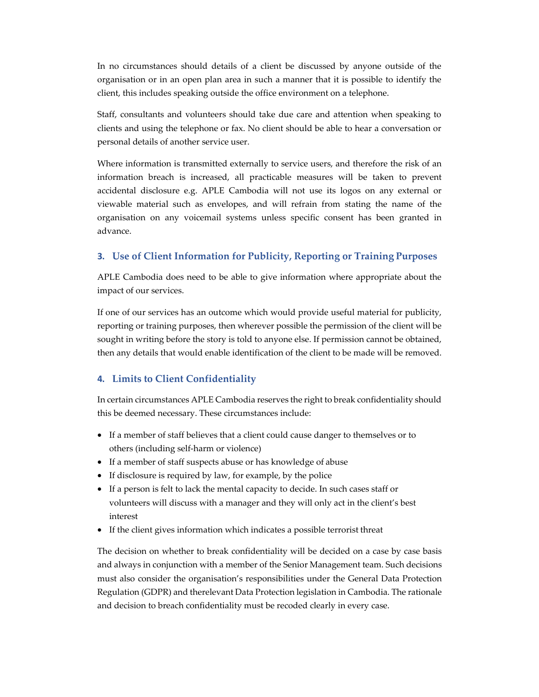In no circumstances should details of a client be discussed by anyone outside of the organisation or in an open plan area in such a manner that it is possible to identify the client, this includes speaking outside the office environment on a telephone.

Staff, consultants and volunteers should take due care and attention when speaking to clients and using the telephone or fax. No client should be able to hear a conversation or personal details of another service user.

Where information is transmitted externally to service users, and therefore the risk of an information breach is increased, all practicable measures will be taken to prevent accidental disclosure e.g. APLE Cambodia will not use its logos on any external or viewable material such as envelopes, and will refrain from stating the name of the organisation on any voicemail systems unless specific consent has been granted in advance.

### **3. Use of Client Information for Publicity, Reporting or Training Purposes**

APLE Cambodia does need to be able to give information where appropriate about the impact of our services.

If one of our services has an outcome which would provide useful material for publicity, reporting or training purposes, then wherever possible the permission of the client will be sought in writing before the story is told to anyone else. If permission cannot be obtained, then any details that would enable identification of the client to be made will be removed.

#### **4. Limits to Client Confidentiality**

In certain circumstances APLE Cambodia reserves the right to break confidentiality should this be deemed necessary. These circumstances include:

- If a member of staff believes that a client could cause danger to themselves or to others (including self-harm or violence)
- If a member of staff suspects abuse or has knowledge of abuse
- If disclosure is required by law, for example, by the police
- If a person is felt to lack the mental capacity to decide. In such cases staff or volunteers will discuss with a manager and they will only act in the client's best interest
- If the client gives information which indicates a possible terrorist threat

The decision on whether to break confidentiality will be decided on a case by case basis and always in conjunction with a member of the Senior Management team. Such decisions must also consider the organisation's responsibilities under the General Data Protection Regulation (GDPR) and therelevant Data Protection legislation in Cambodia. The rationale and decision to breach confidentiality must be recoded clearly in every case.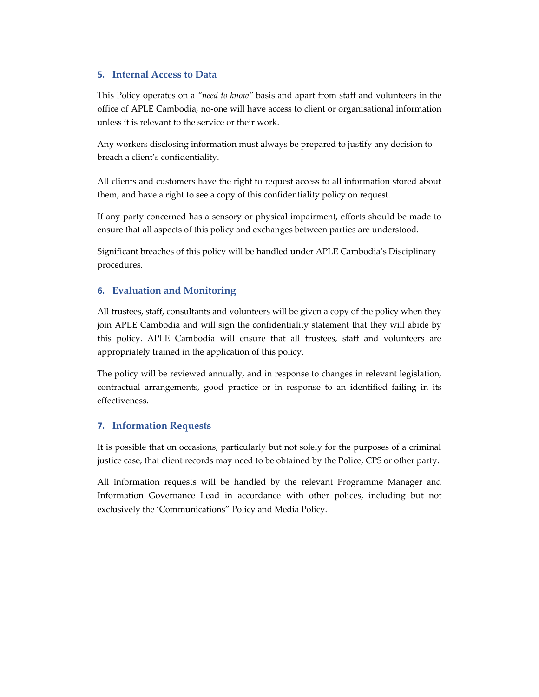### **5. Internal Access to Data**

This Policy operates on a *"need to know"* basis and apart from staff and volunteers in the office of APLE Cambodia, no-one will have access to client or organisational information unless it is relevant to the service or their work.

Any workers disclosing information must always be prepared to justify any decision to breach a client's confidentiality.

All clients and customers have the right to request access to all information stored about them, and have a right to see a copy of this confidentiality policy on request.

If any party concerned has a sensory or physical impairment, efforts should be made to ensure that all aspects of this policy and exchanges between parties are understood.

Significant breaches of this policy will be handled under APLE Cambodia's Disciplinary procedures.

## **6. Evaluation and Monitoring**

All trustees, staff, consultants and volunteers will be given a copy of the policy when they join APLE Cambodia and will sign the confidentiality statement that they will abide by this policy. APLE Cambodia will ensure that all trustees, staff and volunteers are appropriately trained in the application of this policy.

The policy will be reviewed annually, and in response to changes in relevant legislation, contractual arrangements, good practice or in response to an identified failing in its effectiveness.

#### **7. Information Requests**

It is possible that on occasions, particularly but not solely for the purposes of a criminal justice case, that client records may need to be obtained by the Police, CPS or other party.

All information requests will be handled by the relevant Programme Manager and Information Governance Lead in accordance with other polices, including but not exclusively the 'Communications" Policy and Media Policy.